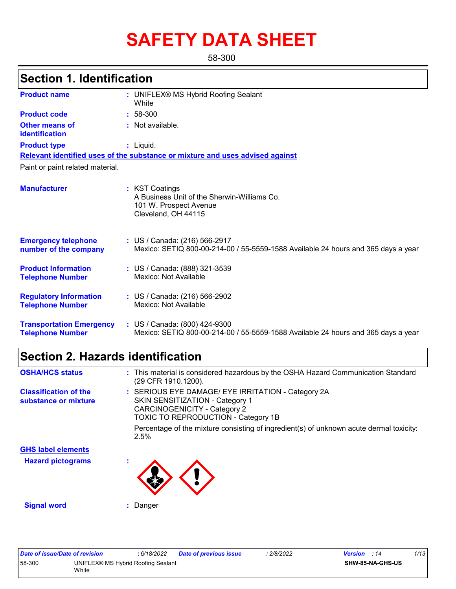# **SAFETY DATA SHEET**

58-300

|                                                            | <b>Section 1. Identification</b>                                                                                   |  |  |  |  |  |
|------------------------------------------------------------|--------------------------------------------------------------------------------------------------------------------|--|--|--|--|--|
| <b>Product name</b>                                        | : UNIFLEX® MS Hybrid Roofing Sealant<br>White                                                                      |  |  |  |  |  |
| <b>Product code</b>                                        | $: 58-300$                                                                                                         |  |  |  |  |  |
| <b>Other means of</b><br><b>identification</b>             | : Not available.                                                                                                   |  |  |  |  |  |
| <b>Product type</b>                                        | $:$ Liquid.                                                                                                        |  |  |  |  |  |
|                                                            | Relevant identified uses of the substance or mixture and uses advised against                                      |  |  |  |  |  |
| Paint or paint related material.                           |                                                                                                                    |  |  |  |  |  |
| <b>Manufacturer</b>                                        | : KST Coatings<br>A Business Unit of the Sherwin-Williams Co.<br>101 W. Prospect Avenue<br>Cleveland, OH 44115     |  |  |  |  |  |
| <b>Emergency telephone</b><br>number of the company        | : US / Canada: (216) 566-2917<br>Mexico: SETIQ 800-00-214-00 / 55-5559-1588 Available 24 hours and 365 days a year |  |  |  |  |  |
| <b>Product Information</b><br><b>Telephone Number</b>      | : US / Canada: (888) 321-3539<br>Mexico: Not Available                                                             |  |  |  |  |  |
| <b>Regulatory Information</b><br><b>Telephone Number</b>   | : US / Canada: (216) 566-2902<br>Mexico: Not Available                                                             |  |  |  |  |  |
| <b>Transportation Emergency</b><br><b>Telephone Number</b> | : US / Canada: (800) 424-9300<br>Mexico: SETIQ 800-00-214-00 / 55-5559-1588 Available 24 hours and 365 days a year |  |  |  |  |  |

### **Section 2. Hazards identification**

| <b>OSHA/HCS status</b>                               | : This material is considered hazardous by the OSHA Hazard Communication Standard<br>(29 CFR 1910.1200).                                                                          |
|------------------------------------------------------|-----------------------------------------------------------------------------------------------------------------------------------------------------------------------------------|
| <b>Classification of the</b><br>substance or mixture | : SERIOUS EYE DAMAGE/ EYE IRRITATION - Category 2A<br><b>SKIN SENSITIZATION - Category 1</b><br><b>CARCINOGENICITY - Category 2</b><br><b>TOXIC TO REPRODUCTION - Category 1B</b> |
|                                                      | Percentage of the mixture consisting of ingredient(s) of unknown acute dermal toxicity:<br>2.5%                                                                                   |
| <b>GHS label elements</b>                            |                                                                                                                                                                                   |
| <b>Hazard pictograms</b>                             |                                                                                                                                                                                   |
| <b>Signal word</b>                                   | : Danger                                                                                                                                                                          |

| Date of issue/Date of revision |                                             | : 6/18/2022 | <b>Date of previous issue</b> | : 2/8/2022 | <b>Version</b> : 14 | 1/13 |
|--------------------------------|---------------------------------------------|-------------|-------------------------------|------------|---------------------|------|
| 58-300                         | UNIFLEX® MS Hybrid Roofing Sealant<br>White |             |                               |            | SHW-85-NA-GHS-US    |      |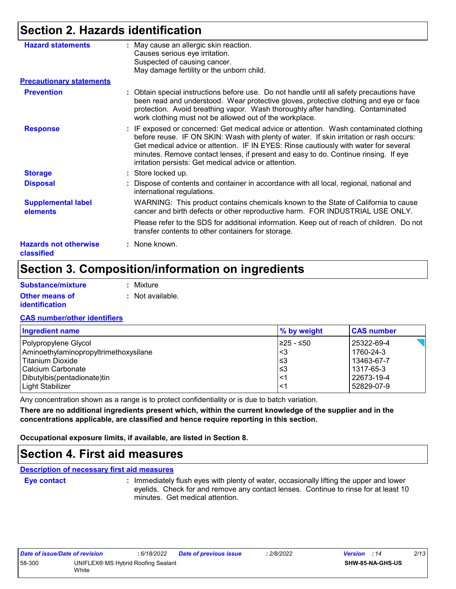### **Section 2. Hazards identification**

| <b>Hazard statements</b>                   | : May cause an allergic skin reaction.<br>Causes serious eye irritation.<br>Suspected of causing cancer.<br>May damage fertility or the unborn child.                                                                                                                                                                                                                                                                     |
|--------------------------------------------|---------------------------------------------------------------------------------------------------------------------------------------------------------------------------------------------------------------------------------------------------------------------------------------------------------------------------------------------------------------------------------------------------------------------------|
| <b>Precautionary statements</b>            |                                                                                                                                                                                                                                                                                                                                                                                                                           |
| <b>Prevention</b>                          | : Obtain special instructions before use. Do not handle until all safety precautions have<br>been read and understood. Wear protective gloves, protective clothing and eye or face<br>protection. Avoid breathing vapor. Wash thoroughly after handling. Contaminated<br>work clothing must not be allowed out of the workplace.                                                                                          |
| <b>Response</b>                            | : IF exposed or concerned: Get medical advice or attention. Wash contaminated clothing<br>before reuse. IF ON SKIN: Wash with plenty of water. If skin irritation or rash occurs:<br>Get medical advice or attention. IF IN EYES: Rinse cautiously with water for several<br>minutes. Remove contact lenses, if present and easy to do. Continue rinsing. If eye<br>irritation persists: Get medical advice or attention. |
| <b>Storage</b>                             | : Store locked up.                                                                                                                                                                                                                                                                                                                                                                                                        |
| <b>Disposal</b>                            | : Dispose of contents and container in accordance with all local, regional, national and<br>international regulations.                                                                                                                                                                                                                                                                                                    |
| <b>Supplemental label</b><br>elements      | WARNING: This product contains chemicals known to the State of California to cause<br>cancer and birth defects or other reproductive harm. FOR INDUSTRIAL USE ONLY.                                                                                                                                                                                                                                                       |
|                                            | Please refer to the SDS for additional information. Keep out of reach of children. Do not<br>transfer contents to other containers for storage.                                                                                                                                                                                                                                                                           |
| <b>Hazards not otherwise</b><br>classified | : None known.                                                                                                                                                                                                                                                                                                                                                                                                             |

### **Section 3. Composition/information on ingredients**

| <b>Substance/mixture</b> | : Mixture |
|--------------------------|-----------|
|                          |           |

| <b>Other means of</b> | : Not available. |
|-----------------------|------------------|
| <b>identification</b> |                  |

#### **CAS number/other identifiers**

| <b>Ingredient name</b>                | % by weight | <b>CAS number</b> |
|---------------------------------------|-------------|-------------------|
| Polypropylene Glycol                  | I≥25 - ≤50  | 25322-69-4        |
| Aminoethylaminopropyltrimethoxysilane | <3          | 1760-24-3         |
| l Titanium Dioxide                    | l≤3         | 13463-67-7        |
| l Calcium Carbonate                   | l≤3         | 1317-65-3         |
| Dibutylbis(pentadionate)tin           | $\leq$ 1    | 22673-19-4        |
| Light Stabilizer                      | ≤1          | 52829-07-9        |

Any concentration shown as a range is to protect confidentiality or is due to batch variation.

**There are no additional ingredients present which, within the current knowledge of the supplier and in the concentrations applicable, are classified and hence require reporting in this section.**

**Occupational exposure limits, if available, are listed in Section 8.**

### **Section 4. First aid measures**

#### **Description of necessary first aid measures**

**Eye contact :**

: Immediately flush eyes with plenty of water, occasionally lifting the upper and lower eyelids. Check for and remove any contact lenses. Continue to rinse for at least 10 minutes. Get medical attention.

| Date of issue/Date of revision |                                    | : 6/18/2022 | Date of previous issue | 2/8/2022 | <b>Version</b> : 14 |                         | 2/13 |
|--------------------------------|------------------------------------|-------------|------------------------|----------|---------------------|-------------------------|------|
| 58-300                         | UNIFLEX® MS Hybrid Roofing Sealant |             |                        |          |                     | <b>SHW-85-NA-GHS-US</b> |      |
|                                | White                              |             |                        |          |                     |                         |      |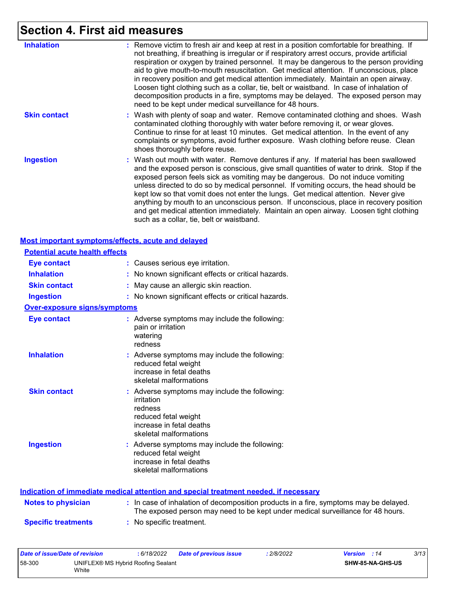# **Section 4. First aid measures**

| <b>Inhalation</b>   | : Remove victim to fresh air and keep at rest in a position comfortable for breathing. If<br>not breathing, if breathing is irregular or if respiratory arrest occurs, provide artificial<br>respiration or oxygen by trained personnel. It may be dangerous to the person providing<br>aid to give mouth-to-mouth resuscitation. Get medical attention. If unconscious, place<br>in recovery position and get medical attention immediately. Maintain an open airway.<br>Loosen tight clothing such as a collar, tie, belt or waistband. In case of inhalation of<br>decomposition products in a fire, symptoms may be delayed. The exposed person may<br>need to be kept under medical surveillance for 48 hours. |
|---------------------|---------------------------------------------------------------------------------------------------------------------------------------------------------------------------------------------------------------------------------------------------------------------------------------------------------------------------------------------------------------------------------------------------------------------------------------------------------------------------------------------------------------------------------------------------------------------------------------------------------------------------------------------------------------------------------------------------------------------|
| <b>Skin contact</b> | : Wash with plenty of soap and water. Remove contaminated clothing and shoes. Wash<br>contaminated clothing thoroughly with water before removing it, or wear gloves.<br>Continue to rinse for at least 10 minutes. Get medical attention. In the event of any<br>complaints or symptoms, avoid further exposure. Wash clothing before reuse. Clean<br>shoes thoroughly before reuse.                                                                                                                                                                                                                                                                                                                               |
| <b>Ingestion</b>    | : Wash out mouth with water. Remove dentures if any. If material has been swallowed<br>and the exposed person is conscious, give small quantities of water to drink. Stop if the<br>exposed person feels sick as vomiting may be dangerous. Do not induce vomiting<br>unless directed to do so by medical personnel. If vomiting occurs, the head should be<br>kept low so that vomit does not enter the lungs. Get medical attention. Never give<br>anything by mouth to an unconscious person. If unconscious, place in recovery position<br>and get medical attention immediately. Maintain an open airway. Loosen tight clothing<br>such as a collar, tie, belt or waistband.                                   |

|                                       | Most important symptoms/effects, acute and delayed                                                                                                   |
|---------------------------------------|------------------------------------------------------------------------------------------------------------------------------------------------------|
| <b>Potential acute health effects</b> |                                                                                                                                                      |
| <b>Eye contact</b>                    | : Causes serious eye irritation.                                                                                                                     |
| <b>Inhalation</b>                     | No known significant effects or critical hazards.                                                                                                    |
| <b>Skin contact</b>                   | May cause an allergic skin reaction.                                                                                                                 |
| <b>Ingestion</b>                      | : No known significant effects or critical hazards.                                                                                                  |
| <b>Over-exposure signs/symptoms</b>   |                                                                                                                                                      |
| <b>Eye contact</b>                    | : Adverse symptoms may include the following:<br>pain or irritation<br>watering<br>redness                                                           |
| <b>Inhalation</b>                     | : Adverse symptoms may include the following:<br>reduced fetal weight<br>increase in fetal deaths<br>skeletal malformations                          |
| <b>Skin contact</b>                   | : Adverse symptoms may include the following:<br>irritation<br>redness<br>reduced fetal weight<br>increase in fetal deaths<br>skeletal malformations |
| <b>Ingestion</b>                      | : Adverse symptoms may include the following:<br>reduced fetal weight<br>increase in fetal deaths<br>skeletal malformations                          |
|                                       | ladiastian af immediate mediaal attention and aneejal treatment needed if neede                                                                      |

|                            | Indication of immediate medical attention and special treatment needed, if necessary                                                                                     |
|----------------------------|--------------------------------------------------------------------------------------------------------------------------------------------------------------------------|
| <b>Notes to physician</b>  | : In case of inhalation of decomposition products in a fire, symptoms may be delayed.<br>The exposed person may need to be kept under medical surveillance for 48 hours. |
| <b>Specific treatments</b> | : No specific treatment.                                                                                                                                                 |

| Date of issue/Date of revision |                                             | : 6/18/2022 | <b>Date of previous issue</b> | 2/8/2022 | <b>Version</b> : 14 |                         | 3/13 |
|--------------------------------|---------------------------------------------|-------------|-------------------------------|----------|---------------------|-------------------------|------|
| 58-300                         | UNIFLEX® MS Hybrid Roofing Sealant<br>White |             |                               |          |                     | <b>SHW-85-NA-GHS-US</b> |      |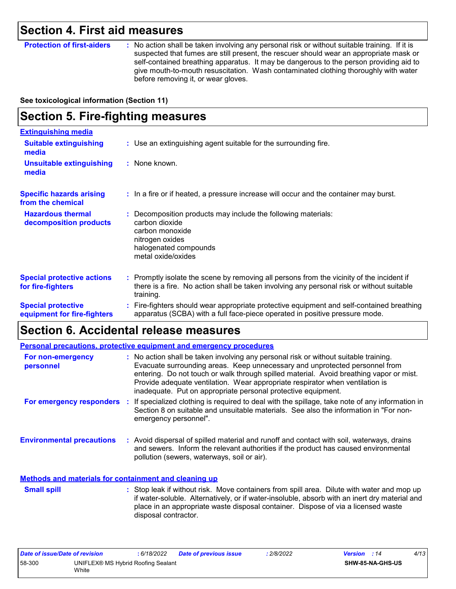### **Section 4. First aid measures**

**Protection of first-aiders** : No action shall be taken involving any personal risk or without suitable training. If it is suspected that fumes are still present, the rescuer should wear an appropriate mask or self-contained breathing apparatus. It may be dangerous to the person providing aid to give mouth-to-mouth resuscitation. Wash contaminated clothing thoroughly with water before removing it, or wear gloves.

#### **See toxicological information (Section 11)**

#### **Section 5. Fire-fighting measures :** Promptly isolate the scene by removing all persons from the vicinity of the incident if there is a fire. No action shall be taken involving any personal risk or without suitable training. **Hazardous thermal decomposition products Specific hazards arising from the chemical** Decomposition products may include the following materials: **:** carbon dioxide carbon monoxide nitrogen oxides halogenated compounds metal oxide/oxides **:** In a fire or if heated, a pressure increase will occur and the container may burst. Fire-fighters should wear appropriate protective equipment and self-contained breathing **:** apparatus (SCBA) with a full face-piece operated in positive pressure mode. **Special protective equipment for fire-fighters** Use an extinguishing agent suitable for the surrounding fire. **: Extinguishing media :** None known. **Suitable extinguishing media Unsuitable extinguishing media Special protective actions for fire-fighters**

### **Section 6. Accidental release measures**

|                                                              | Personal precautions, protective equipment and emergency procedures                                                                                                                                                                                                                                                                                                                                              |
|--------------------------------------------------------------|------------------------------------------------------------------------------------------------------------------------------------------------------------------------------------------------------------------------------------------------------------------------------------------------------------------------------------------------------------------------------------------------------------------|
| For non-emergency<br>personnel                               | : No action shall be taken involving any personal risk or without suitable training.<br>Evacuate surrounding areas. Keep unnecessary and unprotected personnel from<br>entering. Do not touch or walk through spilled material. Avoid breathing vapor or mist.<br>Provide adequate ventilation. Wear appropriate respirator when ventilation is<br>inadequate. Put on appropriate personal protective equipment. |
| For emergency responders                                     | : If specialized clothing is required to deal with the spillage, take note of any information in<br>Section 8 on suitable and unsuitable materials. See also the information in "For non-<br>emergency personnel".                                                                                                                                                                                               |
| <b>Environmental precautions</b>                             | : Avoid dispersal of spilled material and runoff and contact with soil, waterways, drains<br>and sewers. Inform the relevant authorities if the product has caused environmental<br>pollution (sewers, waterways, soil or air).                                                                                                                                                                                  |
| <b>Methods and materials for containment and cleaning up</b> |                                                                                                                                                                                                                                                                                                                                                                                                                  |
| <b>Conall anill</b>                                          | . Stap leak if without riak Mayo containers from epill area. Dilute with water and man up                                                                                                                                                                                                                                                                                                                        |

Stop leak if without risk. Move containers from spill area. Dilute with water and mop up if water-soluble. Alternatively, or if water-insoluble, absorb with an inert dry material and place in an appropriate waste disposal container. Dispose of via a licensed waste disposal contractor. **Small spill :**

| Date of issue/Date of revision |                                             | 6/18/2022 | <b>Date of previous issue</b> | : 2/8/2022 | <b>Version</b> : 14 |                         | 4/13 |
|--------------------------------|---------------------------------------------|-----------|-------------------------------|------------|---------------------|-------------------------|------|
| 58-300                         | UNIFLEX® MS Hybrid Roofing Sealant<br>White |           |                               |            |                     | <b>SHW-85-NA-GHS-US</b> |      |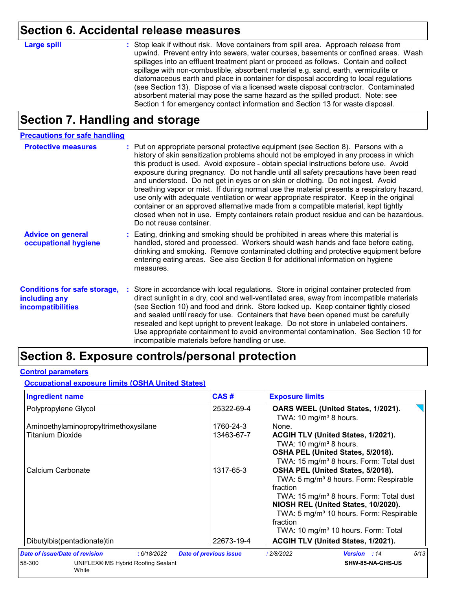### **Section 6. Accidental release measures**

#### **Large spill :**

: Stop leak if without risk. Move containers from spill area. Approach release from upwind. Prevent entry into sewers, water courses, basements or confined areas. Wash spillages into an effluent treatment plant or proceed as follows. Contain and collect spillage with non-combustible, absorbent material e.g. sand, earth, vermiculite or diatomaceous earth and place in container for disposal according to local regulations (see Section 13). Dispose of via a licensed waste disposal contractor. Contaminated absorbent material may pose the same hazard as the spilled product. Note: see Section 1 for emergency contact information and Section 13 for waste disposal.

### **Section 7. Handling and storage**

| <b>Precautions for safe handling</b>                                             |                                                                                                                                                                                                                                                                                                                                                                                                                                                                                                                                                                                                                                                                                                                                                                                                                                                  |
|----------------------------------------------------------------------------------|--------------------------------------------------------------------------------------------------------------------------------------------------------------------------------------------------------------------------------------------------------------------------------------------------------------------------------------------------------------------------------------------------------------------------------------------------------------------------------------------------------------------------------------------------------------------------------------------------------------------------------------------------------------------------------------------------------------------------------------------------------------------------------------------------------------------------------------------------|
| <b>Protective measures</b>                                                       | : Put on appropriate personal protective equipment (see Section 8). Persons with a<br>history of skin sensitization problems should not be employed in any process in which<br>this product is used. Avoid exposure - obtain special instructions before use. Avoid<br>exposure during pregnancy. Do not handle until all safety precautions have been read<br>and understood. Do not get in eyes or on skin or clothing. Do not ingest. Avoid<br>breathing vapor or mist. If during normal use the material presents a respiratory hazard,<br>use only with adequate ventilation or wear appropriate respirator. Keep in the original<br>container or an approved alternative made from a compatible material, kept tightly<br>closed when not in use. Empty containers retain product residue and can be hazardous.<br>Do not reuse container. |
| <b>Advice on general</b><br>occupational hygiene                                 | : Eating, drinking and smoking should be prohibited in areas where this material is<br>handled, stored and processed. Workers should wash hands and face before eating,<br>drinking and smoking. Remove contaminated clothing and protective equipment before<br>entering eating areas. See also Section 8 for additional information on hygiene<br>measures.                                                                                                                                                                                                                                                                                                                                                                                                                                                                                    |
| <b>Conditions for safe storage,</b><br>including any<br><b>incompatibilities</b> | Store in accordance with local regulations. Store in original container protected from<br>direct sunlight in a dry, cool and well-ventilated area, away from incompatible materials<br>(see Section 10) and food and drink. Store locked up. Keep container tightly closed<br>and sealed until ready for use. Containers that have been opened must be carefully<br>resealed and kept upright to prevent leakage. Do not store in unlabeled containers.<br>Use appropriate containment to avoid environmental contamination. See Section 10 for<br>incompatible materials before handling or use.                                                                                                                                                                                                                                                |

### **Section 8. Exposure controls/personal protection**

#### **Control parameters**

#### **Occupational exposure limits (OSHA United States)**

| <b>Ingredient name</b>                                           | CAS#                          | <b>Exposure limits</b>                                                                                                                                                                                                                                                                                                  |
|------------------------------------------------------------------|-------------------------------|-------------------------------------------------------------------------------------------------------------------------------------------------------------------------------------------------------------------------------------------------------------------------------------------------------------------------|
| Polypropylene Glycol                                             | 25322-69-4                    | OARS WEEL (United States, 1/2021).<br>TWA: 10 mg/m <sup>3</sup> 8 hours.                                                                                                                                                                                                                                                |
| Aminoethylaminopropyltrimethoxysilane<br><b>Titanium Dioxide</b> | 1760-24-3<br>13463-67-7       | None.<br>ACGIH TLV (United States, 1/2021).<br>TWA: 10 mg/m <sup>3</sup> 8 hours.<br>OSHA PEL (United States, 5/2018).<br>TWA: 15 mg/m <sup>3</sup> 8 hours. Form: Total dust                                                                                                                                           |
| Calcium Carbonate                                                | 1317-65-3                     | OSHA PEL (United States, 5/2018).<br>TWA: 5 mg/m <sup>3</sup> 8 hours. Form: Respirable<br>fraction<br>TWA: 15 mg/m <sup>3</sup> 8 hours. Form: Total dust<br>NIOSH REL (United States, 10/2020).<br>TWA: 5 mg/m <sup>3</sup> 10 hours. Form: Respirable<br>fraction<br>TWA: 10 mg/m <sup>3</sup> 10 hours. Form: Total |
| Dibutylbis(pentadionate)tin                                      | 22673-19-4                    | ACGIH TLV (United States, 1/2021).                                                                                                                                                                                                                                                                                      |
| Date of issue/Date of revision<br>: 6/18/2022                    | <b>Date of previous issue</b> | 5/13<br>: 2/8/2022<br><b>Version</b> : 14                                                                                                                                                                                                                                                                               |
| 58-300<br>UNIFLEX® MS Hybrid Roofing Sealant<br>White            |                               | SHW-85-NA-GHS-US                                                                                                                                                                                                                                                                                                        |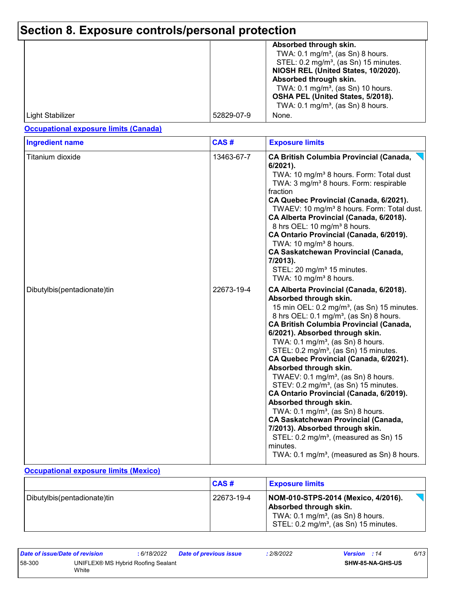# **Section 8. Exposure controls/personal protection**

|                  |            | Absorbed through skin.<br>TWA: $0.1 \text{ mg/m}^3$ , (as Sn) 8 hours.<br>STEL: 0.2 mg/m <sup>3</sup> , (as Sn) 15 minutes.<br>NIOSH REL (United States, 10/2020).<br>Absorbed through skin.<br>TWA: 0.1 mg/m <sup>3</sup> , (as Sn) 10 hours.<br>OSHA PEL (United States, 5/2018).<br>TWA: $0.1 \text{ mg/m}^3$ , (as Sn) 8 hours. |
|------------------|------------|-------------------------------------------------------------------------------------------------------------------------------------------------------------------------------------------------------------------------------------------------------------------------------------------------------------------------------------|
| Light Stabilizer | 52829-07-9 | None.                                                                                                                                                                                                                                                                                                                               |

### **Occupational exposure limits (Canada)**

| <b>Ingredient name</b>      | CAS#       | <b>Exposure limits</b>                                                                                                                                                                                                                                                                                                                                                                                                                                                                                                                                                                                                                                                                                                                                                                                                                                                             |
|-----------------------------|------------|------------------------------------------------------------------------------------------------------------------------------------------------------------------------------------------------------------------------------------------------------------------------------------------------------------------------------------------------------------------------------------------------------------------------------------------------------------------------------------------------------------------------------------------------------------------------------------------------------------------------------------------------------------------------------------------------------------------------------------------------------------------------------------------------------------------------------------------------------------------------------------|
| Titanium dioxide            | 13463-67-7 | <b>CA British Columbia Provincial (Canada,</b><br>6/2021).<br>TWA: 10 mg/m <sup>3</sup> 8 hours. Form: Total dust<br>TWA: 3 mg/m <sup>3</sup> 8 hours. Form: respirable<br>fraction<br>CA Quebec Provincial (Canada, 6/2021).<br>TWAEV: 10 mg/m <sup>3</sup> 8 hours. Form: Total dust.<br>CA Alberta Provincial (Canada, 6/2018).<br>8 hrs OEL: 10 mg/m <sup>3</sup> 8 hours.<br>CA Ontario Provincial (Canada, 6/2019).<br>TWA: 10 mg/m <sup>3</sup> 8 hours.<br><b>CA Saskatchewan Provincial (Canada,</b><br>7/2013).<br>STEL: 20 mg/m <sup>3</sup> 15 minutes.<br>TWA: 10 mg/m <sup>3</sup> 8 hours.                                                                                                                                                                                                                                                                          |
| Dibutylbis(pentadionate)tin | 22673-19-4 | CA Alberta Provincial (Canada, 6/2018).<br>Absorbed through skin.<br>15 min OEL: 0.2 mg/m <sup>3</sup> , (as Sn) 15 minutes.<br>8 hrs OEL: 0.1 mg/m <sup>3</sup> , (as Sn) 8 hours.<br><b>CA British Columbia Provincial (Canada,</b><br>6/2021). Absorbed through skin.<br>TWA: $0.1 \text{ mg/m}^3$ , (as Sn) 8 hours.<br>STEL: 0.2 mg/m <sup>3</sup> , (as Sn) 15 minutes.<br>CA Quebec Provincial (Canada, 6/2021).<br>Absorbed through skin.<br>TWAEV: $0.1 \text{ mg/m}^3$ , (as Sn) 8 hours.<br>STEV: 0.2 mg/m <sup>3</sup> , (as Sn) 15 minutes.<br>CA Ontario Provincial (Canada, 6/2019).<br>Absorbed through skin.<br>TWA: $0.1 \text{ mg/m}^3$ , (as Sn) 8 hours.<br>CA Saskatchewan Provincial (Canada,<br>7/2013). Absorbed through skin.<br>STEL: 0.2 mg/m <sup>3</sup> , (measured as Sn) 15<br>minutes.<br>TWA: 0.1 mg/m <sup>3</sup> , (measured as Sn) 8 hours. |

#### **Occupational exposure limits (Mexico)**

|                               | CAS#       | <b>Exposure limits</b>                                                                                                                                             |        |
|-------------------------------|------------|--------------------------------------------------------------------------------------------------------------------------------------------------------------------|--------|
| Dibutylbis (pentadionate) tin | 22673-19-4 | NOM-010-STPS-2014 (Mexico, 4/2016).<br>Absorbed through skin.<br>TWA: $0.1 \text{ mg/m}^3$ , (as Sn) 8 hours.<br>STEL: 0.2 mg/m <sup>3</sup> , (as Sn) 15 minutes. | $\Box$ |

| Date of issue/Date of revision |                                             | : 6/18/2022 | <b>Date of previous issue</b> | : 2/8/2022 | <b>Version</b> : 14 |                         | 6/13 |
|--------------------------------|---------------------------------------------|-------------|-------------------------------|------------|---------------------|-------------------------|------|
| 58-300                         | UNIFLEX® MS Hybrid Roofing Sealant<br>White |             |                               |            |                     | <b>SHW-85-NA-GHS-US</b> |      |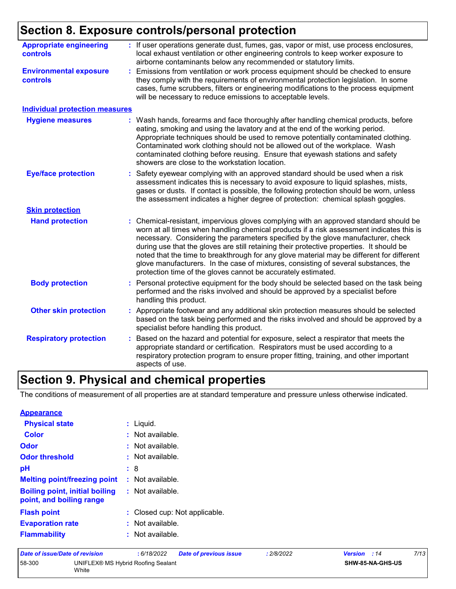## **Section 8. Exposure controls/personal protection**

| <b>Appropriate engineering</b><br><b>controls</b> | : If user operations generate dust, fumes, gas, vapor or mist, use process enclosures,<br>local exhaust ventilation or other engineering controls to keep worker exposure to<br>airborne contaminants below any recommended or statutory limits.                                                                                                                                                                                                                                                                                                                                                                       |
|---------------------------------------------------|------------------------------------------------------------------------------------------------------------------------------------------------------------------------------------------------------------------------------------------------------------------------------------------------------------------------------------------------------------------------------------------------------------------------------------------------------------------------------------------------------------------------------------------------------------------------------------------------------------------------|
| <b>Environmental exposure</b><br><b>controls</b>  | Emissions from ventilation or work process equipment should be checked to ensure<br>they comply with the requirements of environmental protection legislation. In some<br>cases, fume scrubbers, filters or engineering modifications to the process equipment<br>will be necessary to reduce emissions to acceptable levels.                                                                                                                                                                                                                                                                                          |
| <b>Individual protection measures</b>             |                                                                                                                                                                                                                                                                                                                                                                                                                                                                                                                                                                                                                        |
| <b>Hygiene measures</b>                           | : Wash hands, forearms and face thoroughly after handling chemical products, before<br>eating, smoking and using the lavatory and at the end of the working period.<br>Appropriate techniques should be used to remove potentially contaminated clothing.<br>Contaminated work clothing should not be allowed out of the workplace. Wash<br>contaminated clothing before reusing. Ensure that eyewash stations and safety<br>showers are close to the workstation location.                                                                                                                                            |
| <b>Eye/face protection</b>                        | Safety eyewear complying with an approved standard should be used when a risk<br>assessment indicates this is necessary to avoid exposure to liquid splashes, mists,<br>gases or dusts. If contact is possible, the following protection should be worn, unless<br>the assessment indicates a higher degree of protection: chemical splash goggles.                                                                                                                                                                                                                                                                    |
| <b>Skin protection</b>                            |                                                                                                                                                                                                                                                                                                                                                                                                                                                                                                                                                                                                                        |
| <b>Hand protection</b>                            | : Chemical-resistant, impervious gloves complying with an approved standard should be<br>worn at all times when handling chemical products if a risk assessment indicates this is<br>necessary. Considering the parameters specified by the glove manufacturer, check<br>during use that the gloves are still retaining their protective properties. It should be<br>noted that the time to breakthrough for any glove material may be different for different<br>glove manufacturers. In the case of mixtures, consisting of several substances, the<br>protection time of the gloves cannot be accurately estimated. |
| <b>Body protection</b>                            | Personal protective equipment for the body should be selected based on the task being<br>performed and the risks involved and should be approved by a specialist before<br>handling this product.                                                                                                                                                                                                                                                                                                                                                                                                                      |
| <b>Other skin protection</b>                      | Appropriate footwear and any additional skin protection measures should be selected<br>based on the task being performed and the risks involved and should be approved by a<br>specialist before handling this product.                                                                                                                                                                                                                                                                                                                                                                                                |
| <b>Respiratory protection</b>                     | Based on the hazard and potential for exposure, select a respirator that meets the<br>appropriate standard or certification. Respirators must be used according to a<br>respiratory protection program to ensure proper fitting, training, and other important<br>aspects of use.                                                                                                                                                                                                                                                                                                                                      |

### **Section 9. Physical and chemical properties**

The conditions of measurement of all properties are at standard temperature and pressure unless otherwise indicated.

| <b>Appearance</b>                                                 |                               |
|-------------------------------------------------------------------|-------------------------------|
| <b>Physical state</b>                                             | : Liquid.                     |
| Color                                                             | $:$ Not available.            |
| Odor                                                              | $:$ Not available.            |
| <b>Odor threshold</b>                                             | : Not available.              |
| рH                                                                | : 8                           |
| <b>Melting point/freezing point</b>                               | : Not available.              |
| <b>Boiling point, initial boiling</b><br>point, and boiling range | : Not available.              |
| <b>Flash point</b>                                                | : Closed cup: Not applicable. |
| <b>Evaporation rate</b>                                           | $:$ Not available.            |
| <b>Flammability</b>                                               | $:$ Not available.            |

| Date of issue/Date of revision |                                             | : 6/18/2022 | <b>Date of previous issue</b> | : 2/8/2022 | <b>Version</b> : 14 |                         | 7/13 |
|--------------------------------|---------------------------------------------|-------------|-------------------------------|------------|---------------------|-------------------------|------|
| 58-300                         | UNIFLEX® MS Hybrid Roofing Sealant<br>White |             |                               |            |                     | <b>SHW-85-NA-GHS-US</b> |      |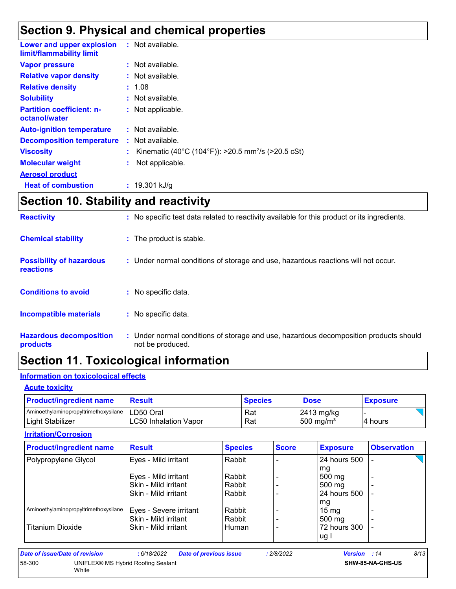### **Section 9. Physical and chemical properties**

| Lower and upper explosion<br>limit/flammability limit | : Not available.                                               |
|-------------------------------------------------------|----------------------------------------------------------------|
| <b>Vapor pressure</b>                                 | $:$ Not available.                                             |
| <b>Relative vapor density</b>                         | $:$ Not available.                                             |
| <b>Relative density</b>                               | : 1.08                                                         |
| <b>Solubility</b>                                     | : Not available.                                               |
| <b>Partition coefficient: n-</b><br>octanol/water     | : Not applicable.                                              |
| <b>Auto-ignition temperature</b>                      | $:$ Not available.                                             |
| <b>Decomposition temperature</b>                      | Not available.                                                 |
| <b>Viscosity</b>                                      | Kinematic (40°C (104°F)): >20.5 mm <sup>2</sup> /s (>20.5 cSt) |
| <b>Molecular weight</b>                               | Not applicable.                                                |
| <b>Aerosol product</b>                                |                                                                |
| <b>Heat of combustion</b>                             | $: 19.301$ kJ/g                                                |

### **Section 10. Stability and reactivity**

| <b>Reactivity</b>                            | : No specific test data related to reactivity available for this product or its ingredients.              |
|----------------------------------------------|-----------------------------------------------------------------------------------------------------------|
| <b>Chemical stability</b>                    | : The product is stable.                                                                                  |
| <b>Possibility of hazardous</b><br>reactions | : Under normal conditions of storage and use, hazardous reactions will not occur.                         |
| <b>Conditions to avoid</b>                   | : No specific data.                                                                                       |
| <b>Incompatible materials</b>                | : No specific data.                                                                                       |
| <b>Hazardous decomposition</b><br>products   | : Under normal conditions of storage and use, hazardous decomposition products should<br>not be produced. |

## **Section 11. Toxicological information**

### **Information on toxicological effects**

#### **Acute toxicity**

| <b>Product/ingredient name</b>                    | <b>Result</b>                 | <b>Species</b> | <b>Dose</b>           | <b>Exposure</b> |
|---------------------------------------------------|-------------------------------|----------------|-----------------------|-----------------|
| Aminoethylaminopropyltrimethoxysilane   LD50 Oral |                               | Rat            | $2413$ mg/kg          |                 |
| Light Stabilizer                                  | <b>ILC50 Inhalation Vapor</b> | Rat            | 500 mg/m <sup>3</sup> | I4 hours        |

#### **Irritation/Corrosion**

| <b>Product/ingredient name</b>        | <b>Result</b>          | <b>Species</b> | <b>Score</b> | <b>Exposure</b>    | <b>Observation</b> |  |
|---------------------------------------|------------------------|----------------|--------------|--------------------|--------------------|--|
| Polypropylene Glycol                  | Eyes - Mild irritant   | Rabbit         |              | 24 hours 500       |                    |  |
|                                       |                        |                |              | mg                 |                    |  |
|                                       | Eyes - Mild irritant   | Rabbit         |              | 500 mg             |                    |  |
|                                       | Skin - Mild irritant   | Rabbit         |              | 500 mg             |                    |  |
|                                       | Skin - Mild irritant   | Rabbit         |              | 24 hours 500       |                    |  |
|                                       |                        |                |              | mg                 |                    |  |
| Aminoethylaminopropyltrimethoxysilane | Eyes - Severe irritant | Rabbit         |              | $15 \,\mathrm{mg}$ |                    |  |
|                                       | Skin - Mild irritant   | Rabbit         |              | $500 \text{ mg}$   |                    |  |
| Titanium Dioxide                      | Skin - Mild irritant   | Human          |              | 72 hours 300       |                    |  |
|                                       |                        |                |              | ug l               |                    |  |

| Date of issue/Date of revision |                                             | 6/18/2022 | <b>Date of previous issue</b> | : 2/8/2022 | <b>Version</b> : 14 |                  | 8/13 |
|--------------------------------|---------------------------------------------|-----------|-------------------------------|------------|---------------------|------------------|------|
| 58-300                         | UNIFLEX® MS Hybrid Roofing Sealant<br>White |           |                               |            |                     | SHW-85-NA-GHS-US |      |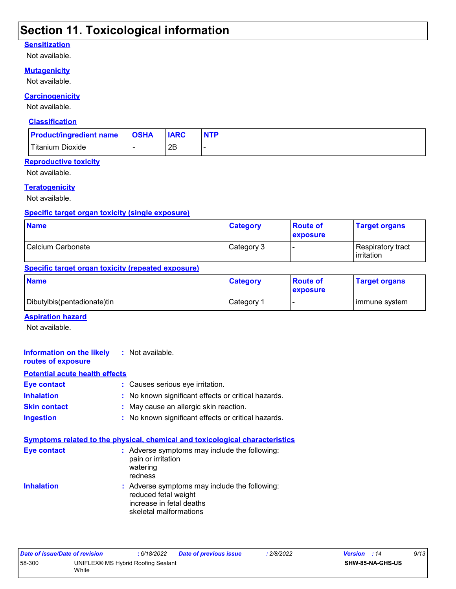### **Section 11. Toxicological information**

#### **Sensitization**

Not available.

#### **Mutagenicity**

Not available.

#### **Carcinogenicity**

Not available.

#### **Classification**

| <b>Product/ingredient name</b> | <b>OSHA</b> | <b>IARC</b> | <b>NTP</b> |
|--------------------------------|-------------|-------------|------------|
| <b>Titanium Dioxide</b>        |             | 2B          |            |

#### **Reproductive toxicity**

Not available.

#### **Teratogenicity**

Not available.

### **Specific target organ toxicity (single exposure)**

| <b>Name</b>       | <b>Category</b> | <b>Route of</b><br><b>exposure</b> | <b>Target organs</b>                     |
|-------------------|-----------------|------------------------------------|------------------------------------------|
| Calcium Carbonate | Category 3      |                                    | Respiratory tract<br><b>l</b> irritation |

#### **Specific target organ toxicity (repeated exposure)**

| <b>Name</b>                   | <b>Category</b>       | <b>Route of</b><br><b>exposure</b> | <b>Target organs</b> |
|-------------------------------|-----------------------|------------------------------------|----------------------|
| Dibutylbis (pentadionate) tin | Category <sup>1</sup> |                                    | l immune system      |

#### **Aspiration hazard**

Not available.

| <b>Information on the likely</b> : Not available.<br>routes of exposure |                                                                                     |
|-------------------------------------------------------------------------|-------------------------------------------------------------------------------------|
| <b>Potential acute health effects</b>                                   |                                                                                     |
| Eye contact                                                             | : Causes serious eye irritation.                                                    |
| <b>Inhalation</b>                                                       | : No known significant effects or critical hazards.                                 |
| <b>Skin contact</b>                                                     | : May cause an allergic skin reaction.                                              |
| <b>Ingestion</b>                                                        | : No known significant effects or critical hazards.                                 |
|                                                                         | <u>Symptoms related to the physical, chemical and toxicological characteristics</u> |
| Eye contact                                                             | : Adverse symptoms may include the following:<br>pain or irritation                 |

|                   | watering<br>redness                                                   |
|-------------------|-----------------------------------------------------------------------|
| <b>Inhalation</b> | : Adverse symptoms may include the following:<br>reduced fetal weight |
|                   | increase in fetal deaths                                              |
|                   | skeletal malformations                                                |

| Date of issue/Date of revision |                                                    | : 6/18/2022 | <b>Date of previous issue</b> | 2/8/2022 | <b>Version</b> : 14 |                         | 9/13 |
|--------------------------------|----------------------------------------------------|-------------|-------------------------------|----------|---------------------|-------------------------|------|
| 58-300                         | UNIFLEX® MS Hybrid Roofing Sealant<br><b>White</b> |             |                               |          |                     | <b>SHW-85-NA-GHS-US</b> |      |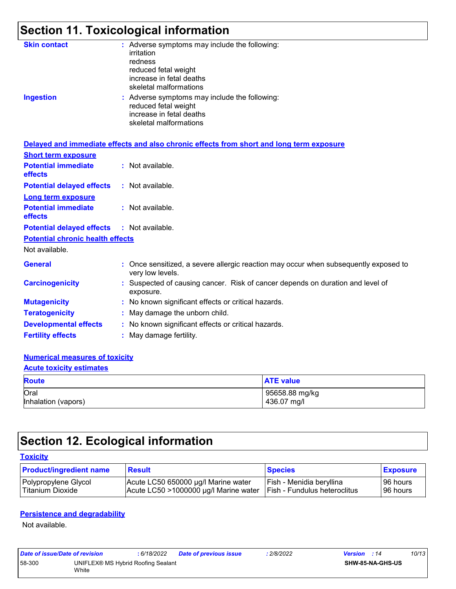# **Section 11. Toxicological information**

| <b>Skin contact</b><br><b>Ingestion</b> | : Adverse symptoms may include the following:<br>irritation<br>redness<br>reduced fetal weight<br>increase in fetal deaths<br>skeletal malformations<br>: Adverse symptoms may include the following:<br>reduced fetal weight<br>increase in fetal deaths<br>skeletal malformations |
|-----------------------------------------|-------------------------------------------------------------------------------------------------------------------------------------------------------------------------------------------------------------------------------------------------------------------------------------|
|                                         | Delayed and immediate effects and also chronic effects from short and long term exposure                                                                                                                                                                                            |
| <b>Short term exposure</b>              |                                                                                                                                                                                                                                                                                     |
| <b>Potential immediate</b><br>effects   | : Not available.                                                                                                                                                                                                                                                                    |
| <b>Potential delayed effects</b>        | : Not available.                                                                                                                                                                                                                                                                    |
| <b>Long term exposure</b>               |                                                                                                                                                                                                                                                                                     |
| <b>Potential immediate</b><br>effects   | : Not available.                                                                                                                                                                                                                                                                    |
| <b>Potential delayed effects</b>        | : Not available.                                                                                                                                                                                                                                                                    |
| <b>Potential chronic health effects</b> |                                                                                                                                                                                                                                                                                     |
| Not available.                          |                                                                                                                                                                                                                                                                                     |
| <b>General</b>                          | : Once sensitized, a severe allergic reaction may occur when subsequently exposed to<br>very low levels.                                                                                                                                                                            |
| <b>Carcinogenicity</b>                  | : Suspected of causing cancer. Risk of cancer depends on duration and level of<br>exposure.                                                                                                                                                                                         |
| <b>Mutagenicity</b>                     | : No known significant effects or critical hazards.                                                                                                                                                                                                                                 |
| <b>Teratogenicity</b>                   | May damage the unborn child.                                                                                                                                                                                                                                                        |
| <b>Developmental effects</b>            | : No known significant effects or critical hazards.                                                                                                                                                                                                                                 |
| <b>Fertility effects</b>                | : May damage fertility.                                                                                                                                                                                                                                                             |
|                                         |                                                                                                                                                                                                                                                                                     |

#### **Numerical measures of toxicity**

#### **Acute toxicity estimates**

| <b>Route</b>        | <b>ATE value</b> |
|---------------------|------------------|
| Oral                | 95658.88 mg/kg   |
| Inhalation (vapors) | 436.07 mg/l      |

# **Section 12. Ecological information**

#### **Toxicity**

| <b>Product/ingredient name</b> | <b>Result</b>                         | <b>Species</b>               | <b>Exposure</b> |
|--------------------------------|---------------------------------------|------------------------------|-----------------|
| Polypropylene Glycol           | Acute LC50 650000 µg/l Marine water   | Fish - Menidia beryllina     | 196 hours       |
| l Titanium Dioxide             | Acute LC50 >1000000 µg/l Marine water | Fish - Fundulus heteroclitus | l 96 hours      |

#### **Persistence and degradability**

Not available.

| Date of issue/Date of revision |                                             | : 6/18/2022 | Date of previous issue | : 2/8/2022 | <b>Version</b> : 14 |                         | 10/13 |
|--------------------------------|---------------------------------------------|-------------|------------------------|------------|---------------------|-------------------------|-------|
| 58-300                         | UNIFLEX® MS Hybrid Roofing Sealant<br>White |             |                        |            |                     | <b>SHW-85-NA-GHS-US</b> |       |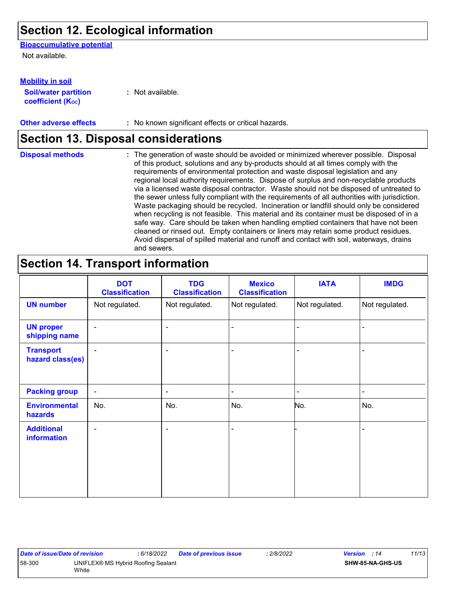### **Section 12. Ecological information**

#### **Bioaccumulative potential**

Not available.

#### **Mobility in soil**

**Soil/water partition coefficient (KOC)**

**:** Not available.

**Other adverse effects** : No known significant effects or critical hazards.

### **Section 13. Disposal considerations**

The generation of waste should be avoided or minimized wherever possible. Disposal of this product, solutions and any by-products should at all times comply with the requirements of environmental protection and waste disposal legislation and any regional local authority requirements. Dispose of surplus and non-recyclable products via a licensed waste disposal contractor. Waste should not be disposed of untreated to the sewer unless fully compliant with the requirements of all authorities with jurisdiction. Waste packaging should be recycled. Incineration or landfill should only be considered when recycling is not feasible. This material and its container must be disposed of in a safe way. Care should be taken when handling emptied containers that have not been cleaned or rinsed out. Empty containers or liners may retain some product residues. Avoid dispersal of spilled material and runoff and contact with soil, waterways, drains and sewers. **Disposal methods :**

### **Section 14. Transport information**

|                                         | <b>DOT</b><br><b>Classification</b> | <b>TDG</b><br><b>Classification</b> | <b>Mexico</b><br><b>Classification</b> | <b>IATA</b>    | <b>IMDG</b>    |
|-----------------------------------------|-------------------------------------|-------------------------------------|----------------------------------------|----------------|----------------|
| <b>UN number</b>                        | Not regulated.                      | Not regulated.                      | Not regulated.                         | Not regulated. | Not regulated. |
| <b>UN proper</b><br>shipping name       | $\blacksquare$                      |                                     | $\qquad \qquad \blacksquare$           |                |                |
| <b>Transport</b><br>hazard class(es)    | $\blacksquare$                      | ۰                                   | $\blacksquare$                         |                |                |
| <b>Packing group</b>                    | $\blacksquare$                      | ۰                                   | $\blacksquare$                         |                |                |
| <b>Environmental</b><br>hazards         | No.                                 | No.                                 | No.                                    | No.            | No.            |
| <b>Additional</b><br><b>information</b> | $\blacksquare$                      | $\overline{\phantom{a}}$            | $\blacksquare$                         |                |                |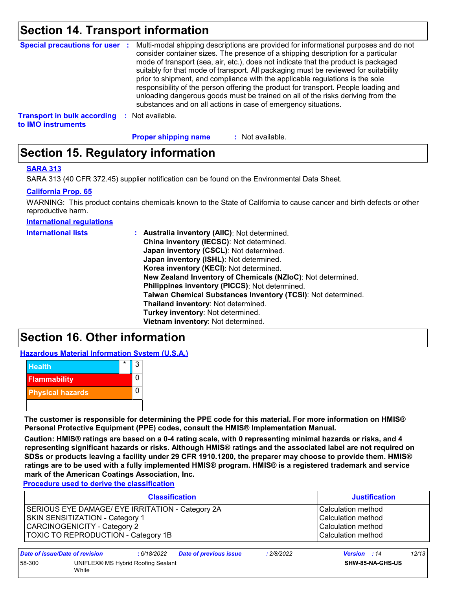### **Section 14. Transport information**

|                                    | Special precautions for user : Multi-modal shipping descriptions are provided for informational purposes and do not<br>consider container sizes. The presence of a shipping description for a particular<br>mode of transport (sea, air, etc.), does not indicate that the product is packaged<br>suitably for that mode of transport. All packaging must be reviewed for suitability<br>prior to shipment, and compliance with the applicable regulations is the sole<br>responsibility of the person offering the product for transport. People loading and<br>unloading dangerous goods must be trained on all of the risks deriving from the<br>substances and on all actions in case of emergency situations. |
|------------------------------------|--------------------------------------------------------------------------------------------------------------------------------------------------------------------------------------------------------------------------------------------------------------------------------------------------------------------------------------------------------------------------------------------------------------------------------------------------------------------------------------------------------------------------------------------------------------------------------------------------------------------------------------------------------------------------------------------------------------------|
| <b>Transport in bulk according</b> | Not available.                                                                                                                                                                                                                                                                                                                                                                                                                                                                                                                                                                                                                                                                                                     |

**to IMO instruments**

: Not available. **Proper shipping name :**

### **Section 15. Regulatory information**

#### **SARA 313**

SARA 313 (40 CFR 372.45) supplier notification can be found on the Environmental Data Sheet.

#### **California Prop. 65**

WARNING: This product contains chemicals known to the State of California to cause cancer and birth defects or other reproductive harm.

**International regulations**

| <b>International lists</b> | : Australia inventory (AIIC): Not determined.<br>China inventory (IECSC): Not determined.<br>Japan inventory (CSCL): Not determined.<br>Japan inventory (ISHL): Not determined.<br>Korea inventory (KECI): Not determined.<br>New Zealand Inventory of Chemicals (NZIoC): Not determined.<br>Philippines inventory (PICCS): Not determined.<br>Taiwan Chemical Substances Inventory (TCSI): Not determined.<br>Thailand inventory: Not determined. |
|----------------------------|----------------------------------------------------------------------------------------------------------------------------------------------------------------------------------------------------------------------------------------------------------------------------------------------------------------------------------------------------------------------------------------------------------------------------------------------------|
|                            |                                                                                                                                                                                                                                                                                                                                                                                                                                                    |
|                            | Turkey inventory: Not determined.                                                                                                                                                                                                                                                                                                                                                                                                                  |
|                            | Vietnam inventory: Not determined.                                                                                                                                                                                                                                                                                                                                                                                                                 |

### **Section 16. Other information**

**Hazardous Material Information System (U.S.A.)**



**The customer is responsible for determining the PPE code for this material. For more information on HMIS® Personal Protective Equipment (PPE) codes, consult the HMIS® Implementation Manual.**

**Caution: HMIS® ratings are based on a 0-4 rating scale, with 0 representing minimal hazards or risks, and 4 representing significant hazards or risks. Although HMIS® ratings and the associated label are not required on SDSs or products leaving a facility under 29 CFR 1910.1200, the preparer may choose to provide them. HMIS® ratings are to be used with a fully implemented HMIS® program. HMIS® is a registered trademark and service mark of the American Coatings Association, Inc.**

**Procedure used to derive the classification**

|                                                                                                                                                                   | <b>Classification</b>          |             |                               | <b>Justification</b> |                                                                                      |       |  |
|-------------------------------------------------------------------------------------------------------------------------------------------------------------------|--------------------------------|-------------|-------------------------------|----------------------|--------------------------------------------------------------------------------------|-------|--|
| SERIOUS EYE DAMAGE/ EYE IRRITATION - Category 2A<br>SKIN SENSITIZATION - Category 1<br>CARCINOGENICITY - Category 2<br><b>TOXIC TO REPRODUCTION - Category 1B</b> |                                |             |                               |                      | Calculation method<br>Calculation method<br>Calculation method<br>Calculation method |       |  |
|                                                                                                                                                                   | Date of issue/Date of revision | : 6/18/2022 | <b>Date of previous issue</b> | : 2/8/2022           | <b>Version</b> : 14                                                                  | 12/13 |  |
| 58-300<br>UNIFLEX® MS Hybrid Roofing Sealant<br>White                                                                                                             |                                |             | SHW-85-NA-GHS-US              |                      |                                                                                      |       |  |